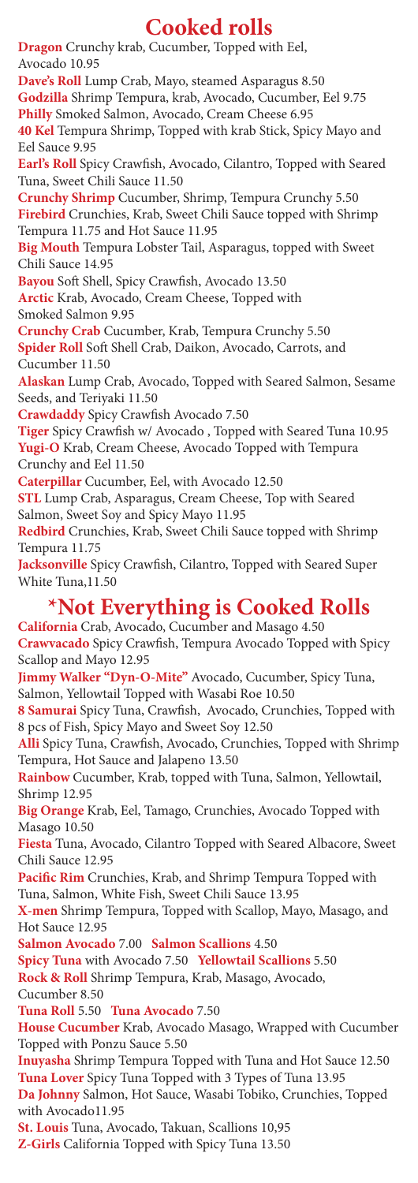# **Cooked rolls**

**Dragon** Crunchy krab, Cucumber, Topped with Eel, Avocado 10.95 **Dave's Roll** Lump Crab, Mayo, steamed Asparagus 8.50 **Godzilla** Shrimp Tempura, krab, Avocado, Cucumber, Eel 9.75 **Philly** Smoked Salmon, Avocado, Cream Cheese 6.95 **40 Kel** Tempura Shrimp, Topped with krab Stick, Spicy Mayo and Eel Sauce 9.95 **Earl's Roll** Spicy Crawfish, Avocado, Cilantro, Topped with Seared Tuna, Sweet Chili Sauce 11.50 **Crunchy Shrimp** Cucumber, Shrimp, Tempura Crunchy 5.50 **Firebird** Crunchies, Krab, Sweet Chili Sauce topped with Shrimp Tempura 11.75 and Hot Sauce 11.95 **Big Mouth** Tempura Lobster Tail, Asparagus, topped with Sweet Chili Sauce 14.95 **Bayou** Soft Shell, Spicy Crawfish, Avocado 13.50 **Arctic** Krab, Avocado, Cream Cheese, Topped with Smoked Salmon 9.95 **Crunchy Crab** Cucumber, Krab, Tempura Crunchy 5.50 **Spider Roll** Soft Shell Crab, Daikon, Avocado, Carrots, and Cucumber 11.50 **Alaskan** Lump Crab, Avocado, Topped with Seared Salmon, Sesame Seeds, and Teriyaki 11.50 **Crawdaddy** Spicy Crawfish Avocado 7.50 **Tiger** Spicy Crawfish w/ Avocado , Topped with Seared Tuna 10.95 **Yugi-O** Krab, Cream Cheese, Avocado Topped with Tempura Crunchy and Eel 11.50 **Caterpillar** Cucumber, Eel, with Avocado 12.50 **STL** Lump Crab, Asparagus, Cream Cheese, Top with Seared Salmon, Sweet Soy and Spicy Mayo 11.95 **Redbird** Crunchies, Krab, Sweet Chili Sauce topped with Shrimp Tempura 11.75 **Jacksonville** Spicy Crawfish, Cilantro, Topped with Seared Super White Tuna,11.50 **\*Not Everything is Cooked Rolls California** Crab, Avocado, Cucumber and Masago 4.50 **Crawvacado** Spicy Crawfish, Tempura Avocado Topped with Spicy Scallop and Mayo 12.95 **Jimmy Walker "Dyn-O-Mite"** Avocado, Cucumber, Spicy Tuna, Salmon, Yellowtail Topped with Wasabi Roe 10.50 **8 Samurai** Spicy Tuna, Crawfish, Avocado, Crunchies, Topped with 8 pcs of Fish, Spicy Mayo and Sweet Soy 12.50

**Alli** Spicy Tuna, Crawfish, Avocado, Crunchies, Topped with Shrimp Tempura, Hot Sauce and Jalapeno 13.50

**Rainbow** Cucumber, Krab, topped with Tuna, Salmon, Yellowtail, Shrimp 12.95

**Big Orange** Krab, Eel, Tamago, Crunchies, Avocado Topped with Masago 10.50

**Fiesta** Tuna, Avocado, Cilantro Topped with Seared Albacore, Sweet Chili Sauce 12.95

**Pacific Rim** Crunchies, Krab, and Shrimp Tempura Topped with

- Tuna, Salmon, White Fish, Sweet Chili Sauce 13.95
- **X-men** Shrimp Tempura, Topped with Scallop, Mayo, Masago, and Hot Sauce 12.95
- **Salmon Avocado** 7.00 **Salmon Scallions** 4.50
- **Spicy Tuna** with Avocado 7.50 **Yellowtail Scallions** 5.50 **Rock & Roll** Shrimp Tempura, Krab, Masago, Avocado,
- Cucumber 8.50
- **Tuna Roll** 5.50 **Tuna Avocado** 7.50
- **House Cucumber** Krab, Avocado Masago, Wrapped with Cucumber
- Topped with Ponzu Sauce 5.50
- **Inuyasha** Shrimp Tempura Topped with Tuna and Hot Sauce 12.50 **Tuna Lover** Spicy Tuna Topped with 3 Types of Tuna 13.95 **Da Johnny** Salmon, Hot Sauce, Wasabi Tobiko, Crunchies, Topped with Avocado11.95
- **St. Louis** Tuna, Avocado, Takuan, Scallions 10,95 **Z-Girls** California Topped with Spicy Tuna 13.50